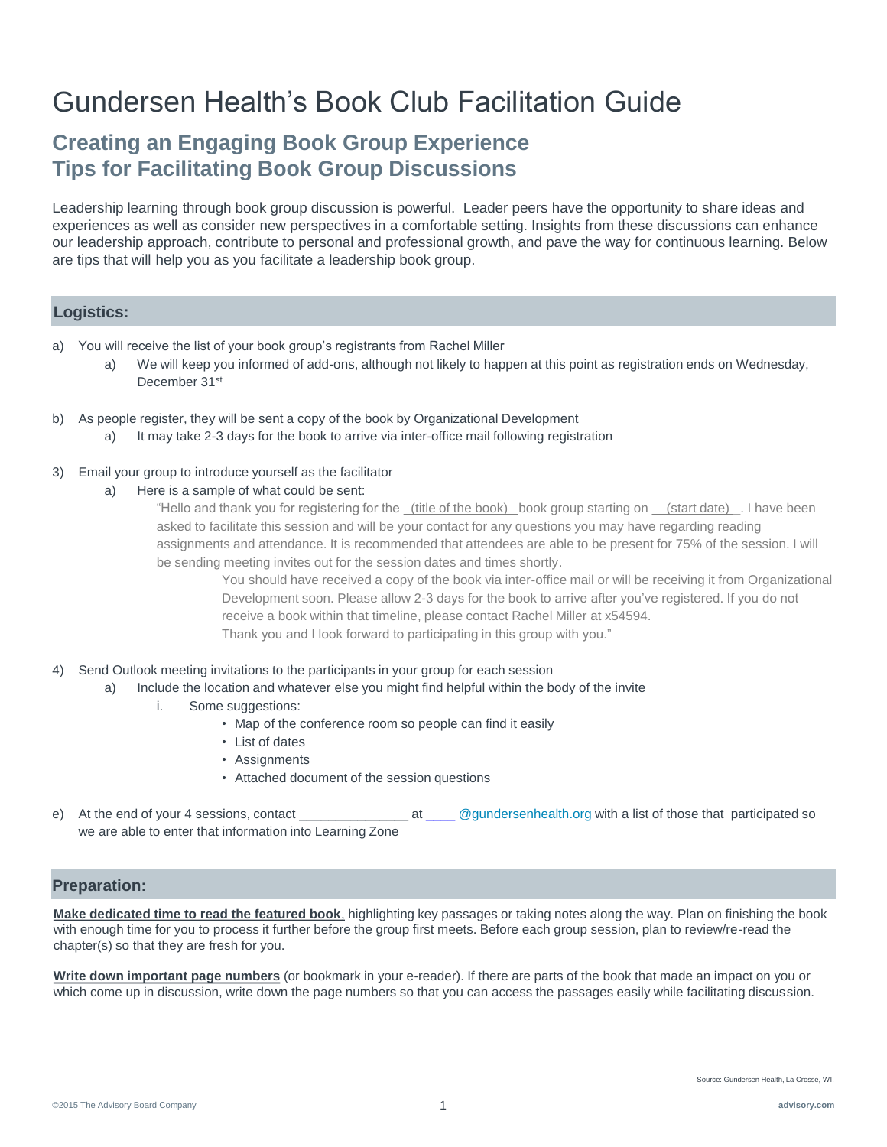## Gundersen Health's Book Club Facilitation Guide

### **Creating an Engaging Book Group Experience Tips for Facilitating Book Group Discussions**

Leadership learning through book group discussion is powerful. Leader peers have the opportunity to share ideas and experiences as well as consider new perspectives in a comfortable setting. Insights from these discussions can enhance our leadership approach, contribute to personal and professional growth, and pave the way for continuous learning. Below are tips that will help you as you facilitate a leadership book group.

### **Logistics:**

- a) You will receive the list of your book group's registrants from Rachel Miller
	- a) We will keep you informed of add-ons, although not likely to happen at this point as registration ends on Wednesday, December 31st
- b) As people register, they will be sent a copy of the book by Organizational Development
	- a) It may take 2-3 days for the book to arrive via inter-office mail following registration
- 3) Email your group to introduce yourself as the facilitator
	- a) Here is a sample of what could be sent:

"Hello and thank you for registering for the (title of the book) book group starting on (start date). I have been asked to facilitate this session and will be your contact for any questions you may have regarding reading assignments and attendance. It is recommended that attendees are able to be present for 75% of the session. I will be sending meeting invites out for the session dates and times shortly.

You should have received a copy of the book via inter-office mail or will be receiving it from Organizational Development soon. Please allow 2-3 days for the book to arrive after you've registered. If you do not receive a book within that timeline, please contact Rachel Miller at x54594. Thank you and I look forward to participating in this group with you."

#### 4) Send Outlook meeting invitations to the participants in your group for each session

- a) Include the location and whatever else you might find helpful within the body of the invite
	- i. Some suggestions:
		- Map of the conference room so people can find it easily
		- List of dates
		- Assignments
		- Attached document of the session questions
- At the end of your 4 sessions, contact \_\_\_\_\_\_\_\_\_\_\_\_\_\_\_\_\_ at \_\_\_\_ [@gundersenhealth.org](mailto:rnmiller@gundersenhealth.org) with a list of those that participated so we are able to enter that information into Learning Zone

#### **Preparation:**

**Make dedicated time to read the featured book**, highlighting key passages or taking notes along the way. Plan on finishing the book with enough time for you to process it further before the group first meets. Before each group session, plan to review/re-read the chapter(s) so that they are fresh for you.

**Write down important page numbers** (or bookmark in your e-reader). If there are parts of the book that made an impact on you or which come up in discussion, write down the page numbers so that you can access the passages easily while facilitating discussion.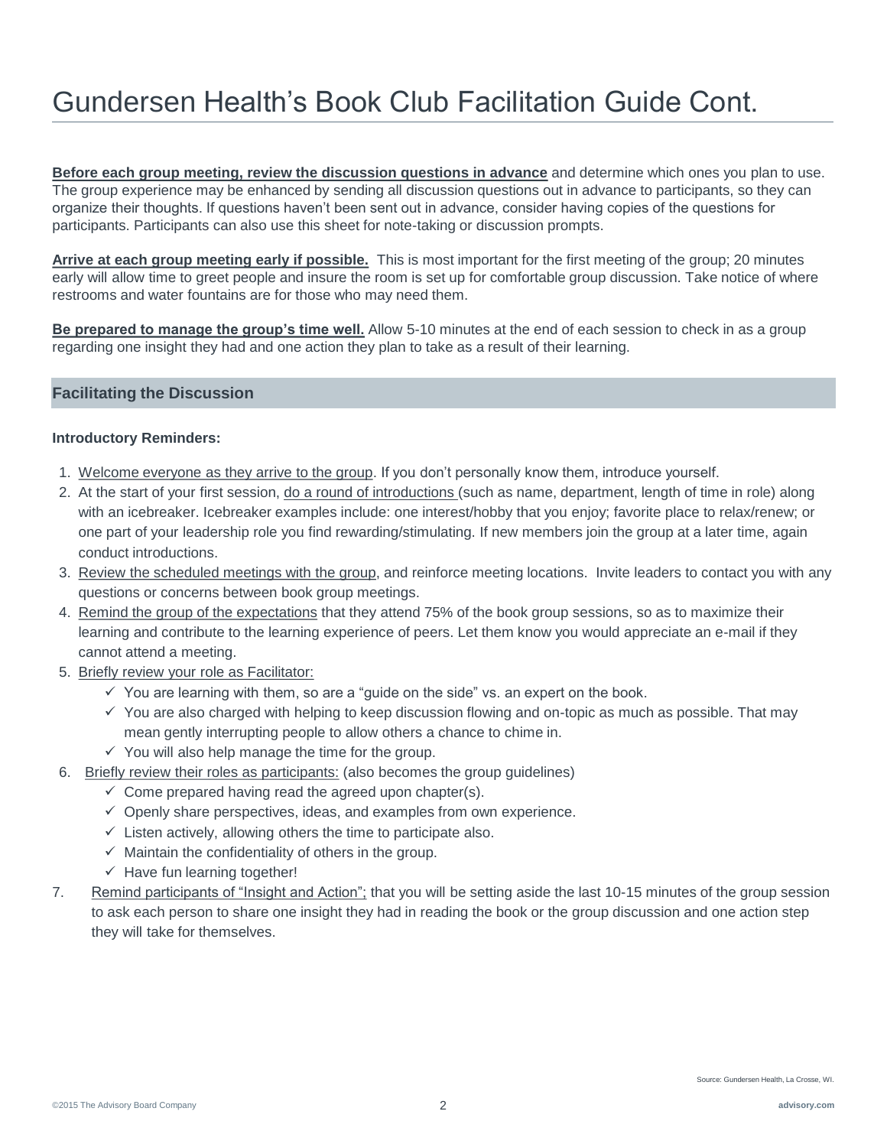# Gundersen Health's Book Club Facilitation Guide Cont.

**Before each group meeting, review the discussion questions in advance** and determine which ones you plan to use. The group experience may be enhanced by sending all discussion questions out in advance to participants, so they can organize their thoughts. If questions haven't been sent out in advance, consider having copies of the questions for participants. Participants can also use this sheet for note-taking or discussion prompts.

**Arrive at each group meeting early if possible.** This is most important for the first meeting of the group; 20 minutes early will allow time to greet people and insure the room is set up for comfortable group discussion. Take notice of where restrooms and water fountains are for those who may need them.

**Be prepared to manage the group's time well.** Allow 5-10 minutes at the end of each session to check in as a group regarding one insight they had and one action they plan to take as a result of their learning.

### **Facilitating the Discussion**

### **Introductory Reminders:**

- 1. Welcome everyone as they arrive to the group. If you don't personally know them, introduce yourself.
- 2. At the start of your first session, do a round of introductions (such as name, department, length of time in role) along with an icebreaker. Icebreaker examples include: one interest/hobby that you enjoy; favorite place to relax/renew; or one part of your leadership role you find rewarding/stimulating. If new members join the group at a later time, again conduct introductions.
- 3. Review the scheduled meetings with the group, and reinforce meeting locations. Invite leaders to contact you with any questions or concerns between book group meetings.
- 4. Remind the group of the expectations that they attend 75% of the book group sessions, so as to maximize their learning and contribute to the learning experience of peers. Let them know you would appreciate an e-mail if they cannot attend a meeting.
- 5. Briefly review your role as Facilitator:
	- $\checkmark$  You are learning with them, so are a "guide on the side" vs. an expert on the book.
	- $\checkmark$  You are also charged with helping to keep discussion flowing and on-topic as much as possible. That may mean gently interrupting people to allow others a chance to chime in.
	- $\checkmark$  You will also help manage the time for the group.
- 6. Briefly review their roles as participants: (also becomes the group guidelines)
	- $\checkmark$  Come prepared having read the agreed upon chapter(s).
	- $\checkmark$  Openly share perspectives, ideas, and examples from own experience.
	- $\checkmark$  Listen actively, allowing others the time to participate also.
	- $\checkmark$  Maintain the confidentiality of others in the group.
	- $\checkmark$  Have fun learning together!
- 7. Remind participants of "Insight and Action"; that you will be setting aside the last 10-15 minutes of the group session to ask each person to share one insight they had in reading the book or the group discussion and one action step they will take for themselves.